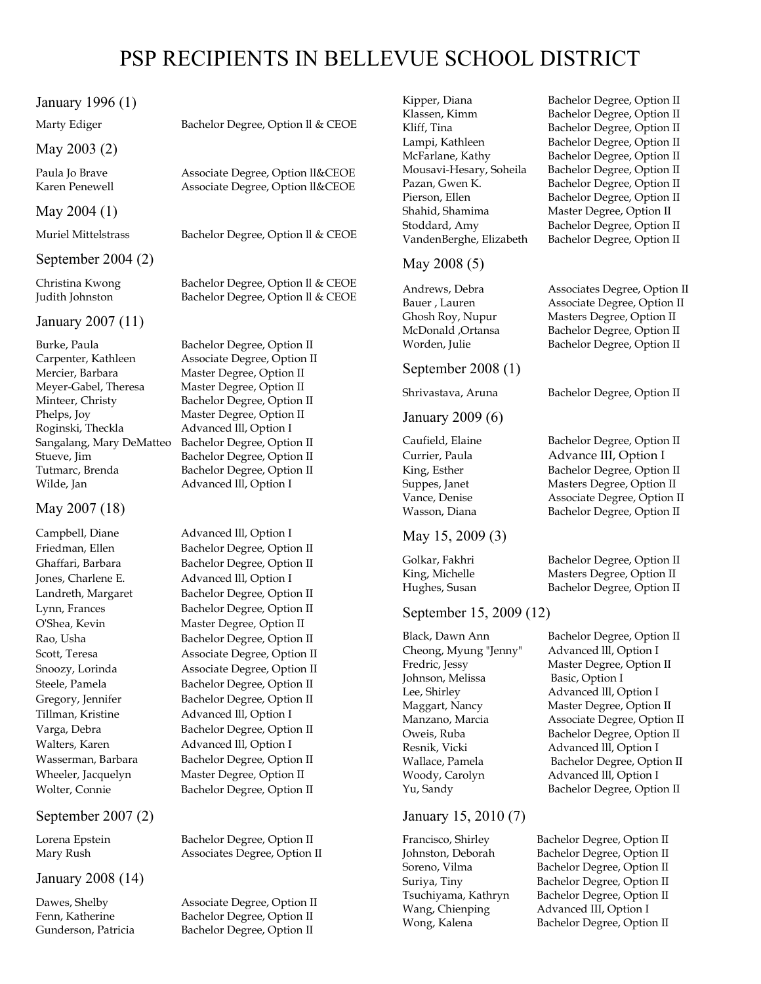# January 1996 (1)

#### May 2003 (2)

# May 2004 (1)

#### September 2004 (2)

#### January 2007 (11)

Carpenter, Kathleen Associate Degree, Option II Mercier, Barbara Master Degree, Option II Meyer-Gabel, Theresa Master Degree, Option II Minteer, Christy Bachelor Degree, Option II Phelps, Joy Master Degree, Option II Roginski, Theckla Advanced III, Option I Sangalang, Mary DeMatteo Bachelor Degree, Option II Stueve, Jim Bachelor Degree, Option II Tutmarc, Brenda Bachelor Degree, Option II Wilde, Jan Advanced III, Option I

# May 2007 (18)

Campbell, Diane Advanced lll, Option I

# September 2007 (2)

## January 2008 (14)

Marty Ediger Bachelor Degree, Option II & CEOE

Paula Jo Brave Associate Degree, Option ll&CEOE Karen Penewell Associate Degree, Option ll&CEOE

Muriel Mittelstrass Bachelor Degree, Option ll & CEOE

Christina Kwong Bachelor Degree, Option ll & CEOE Judith Johnston Bachelor Degree, Option ll & CEOE

Burke, Paula Bachelor Degree, Option II

Friedman, Ellen Bachelor Degree, Option II Ghaffari, Barbara Bachelor Degree, Option II Jones, Charlene E. Advanced III, Option I Landreth, Margaret Bachelor Degree, Option II Lynn, Frances Bachelor Degree, Option II O'Shea, Kevin Master Degree, Option II Rao, Usha Bachelor Degree, Option II Scott, Teresa **Associate Degree, Option II** Snoozy, Lorinda Associate Degree, Option II Steele, Pamela Bachelor Degree, Option II Gregory, Jennifer Bachelor Degree, Option II Tillman, Kristine Advanced lll, Option I Varga, Debra Bachelor Degree, Option II Walters, Karen Advanced III, Option I Wasserman, Barbara Bachelor Degree, Option II Wheeler, Jacquelyn Master Degree, Option II Wolter, Connie Bachelor Degree, Option II

Lorena Epstein Bachelor Degree, Option II Mary Rush Associates Degree, Option II

Dawes, Shelby **Associate Degree**, Option II Fenn, Katherine Bachelor Degree, Option II Gunderson, Patricia Bachelor Degree, Option II

Kipper, Diana Bachelor Degree, Option II Klassen, Kimm Bachelor Degree, Option II Kliff, Tina Bachelor Degree, Option II Lampi, Kathleen Bachelor Degree, Option II McFarlane, Kathy Bachelor Degree, Option II Mousavi-Hesary, Soheila Bachelor Degree, Option II Pazan, Gwen K. Bachelor Degree, Option II Pierson, Ellen Bachelor Degree, Option II Shahid, Shamima Master Degree, Option II Stoddard, Amy Bachelor Degree, Option II VandenBerghe, Elizabeth Bachelor Degree, Option II

May 2008 (5)

September 2008 (1)

January 2009 (6)

# May 15, 2009 (3)

# September 15, 2009 (12)

Johnson, Melissa Basic, Option I

# January 15, 2010 (7)

Andrews, Debra Associates Degree, Option II Bauer, Lauren **Associate Degree, Option II** Ghosh Roy, Nupur Masters Degree, Option II McDonald ,Ortansa Bachelor Degree, Option II Worden, Julie Bachelor Degree, Option II

Shrivastava, Aruna Bachelor Degree, Option II

Caufield, Elaine Bachelor Degree, Option II Currier, Paula Advance III, Option I King, Esther Bachelor Degree, Option II Suppes, Janet Masters Degree, Option II Vance, Denise Associate Degree, Option II Wasson, Diana Bachelor Degree, Option II

Golkar, Fakhri Bachelor Degree, Option II King, Michelle Masters Degree, Option II Hughes, Susan Bachelor Degree, Option II

Black, Dawn Ann Bachelor Degree, Option II Cheong, Myung "Jenny" Advanced lll, Option I Fredric, Jessy Master Degree, Option II Lee, Shirley **Advanced III**, Option I Maggart, Nancy Master Degree, Option II Manzano, Marcia Associate Degree, Option II Oweis, Ruba Bachelor Degree, Option II Resnik, Vicki Advanced III, Option I Wallace, Pamela Bachelor Degree, Option II Woody, Carolyn Advanced III, Option I Yu, Sandy Bachelor Degree, Option II

Francisco, Shirley Bachelor Degree, Option II Johnston, Deborah Bachelor Degree, Option II Soreno, Vilma Bachelor Degree, Option II Suriya, Tiny Bachelor Degree, Option II Tsuchiyama, Kathryn Bachelor Degree, Option II Wang, Chienping Advanced III, Option I Wong, Kalena Bachelor Degree, Option II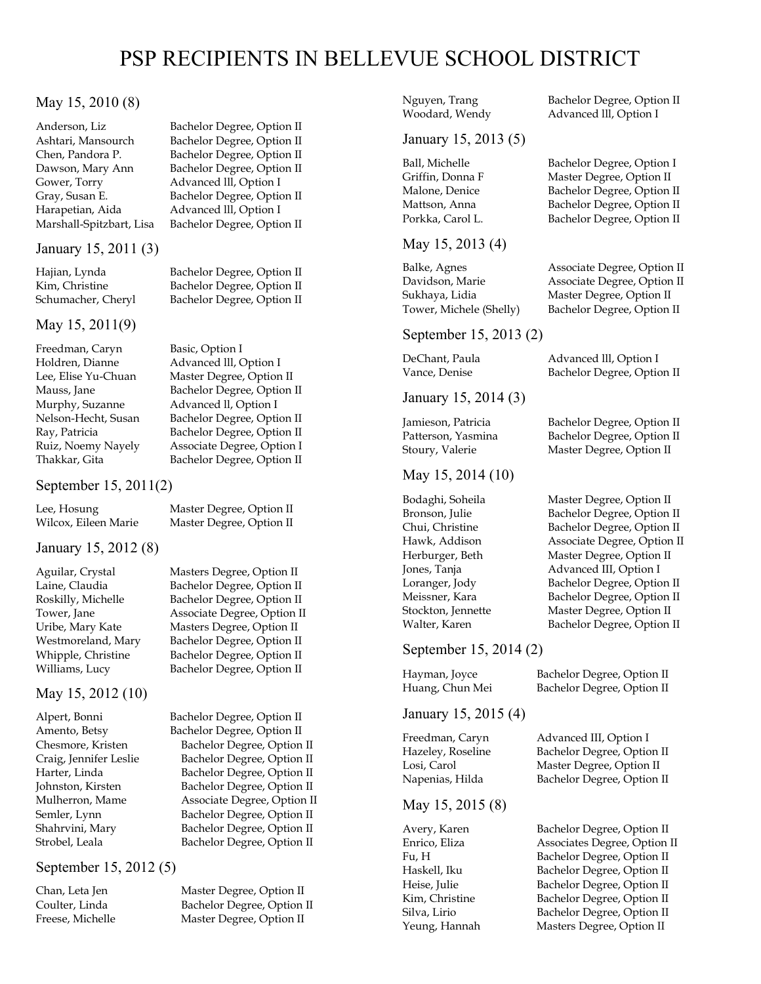#### May 15, 2010 (8)

Anderson, Liz Bachelor Degree, Option II Gower, Torry **Advanced III**, Option I Harapetian, Aida Advanced III, Option I Marshall-Spitzbart, Lisa Bachelor Degree, Option II

#### January 15, 2011 (3)

#### May 15, 2011(9)

Freedman, Caryn Basic, Option I<br>Holdren, Dianne Advanced III, C Murphy, Suzanne Advanced II, Option I

September 15, 2011(2)

Lee, Hosung Master Degree, Option II

#### January 15, 2012 (8)

#### May 15, 2012 (10)

#### September 15, 2012 (5)

Ashtari, Mansourch Bachelor Degree, Option II Chen, Pandora P. Bachelor Degree, Option II Dawson, Mary Ann Bachelor Degree, Option II Gray, Susan E. Bachelor Degree, Option II

Hajian, Lynda Bachelor Degree, Option II Kim, Christine Bachelor Degree, Option II Schumacher, Cheryl Bachelor Degree, Option II

Advanced III, Option I Lee, Elise Yu-Chuan Master Degree, Option II Mauss, Jane Bachelor Degree, Option II Nelson-Hecht, Susan Bachelor Degree, Option II Ray, Patricia Bachelor Degree, Option II Ruiz, Noemy Nayely Associate Degree, Option I Thakkar, Gita Bachelor Degree, Option II

Wilcox, Eileen Marie Master Degree, Option II

Aguilar, Crystal Masters Degree, Option II Laine, Claudia Bachelor Degree, Option II Roskilly, Michelle Bachelor Degree, Option II Tower, Jane **Associate Degree, Option II** Uribe, Mary Kate Masters Degree, Option II Westmoreland, Mary Bachelor Degree, Option II Whipple, Christine Bachelor Degree, Option II

Alpert, Bonni Bachelor Degree, Option II Amento, Betsy Bachelor Degree, Option II Chesmore, Kristen Bachelor Degree, Option II Craig, Jennifer Leslie Bachelor Degree, Option II Harter, Linda Bachelor Degree, Option II Johnston, Kirsten Bachelor Degree, Option II Mulherron, Mame Associate Degree, Option II Semler, Lynn Bachelor Degree, Option II Shahrvini, Mary Bachelor Degree, Option II Strobel, Leala Bachelor Degree, Option II

Chan, Leta Jen Master Degree, Option II Coulter, Linda Bachelor Degree, Option II Freese, Michelle Master Degree, Option II

# January 15, 2013 (5)

#### May 15, 2013 (4)

#### September 15, 2013 (2)

January 15, 2014 (3)

#### May 15, 2014 (10)

### September 15, 2014 (2)

January 15, 2015 (4)

#### May 15, 2015 (8)

Nguyen, Trang Bachelor Degree, Option II Woodard, Wendy **Advanced III**, Option I

#### Ball, Michelle Bachelor Degree, Option I Griffin, Donna F Master Degree, Option II Malone, Denice Bachelor Degree, Option II Mattson, Anna Bachelor Degree, Option II Porkka, Carol L. Bachelor Degree, Option II

Balke, Agnes **Associate Degree, Option II** Davidson, Marie Associate Degree, Option II Sukhaya, Lidia Master Degree, Option II Tower, Michele (Shelly) Bachelor Degree, Option II

DeChant, Paula Advanced III, Option I Vance, Denise Bachelor Degree, Option II

Jamieson, Patricia Bachelor Degree, Option II Patterson, Yasmina Bachelor Degree, Option II Stoury, Valerie Master Degree, Option II

Bodaghi, Soheila Master Degree, Option II Bronson, Julie Bachelor Degree, Option II Chui, Christine Bachelor Degree, Option II Hawk, Addison **Associate Degree, Option II** Herburger, Beth Master Degree, Option II Jones, Tanja Advanced III, Option I Loranger, Jody Bachelor Degree, Option II Meissner, Kara Bachelor Degree, Option II Stockton, Jennette Master Degree, Option II Walter, Karen Bachelor Degree, Option II

Hayman, Joyce Bachelor Degree, Option II Huang, Chun Mei Bachelor Degree, Option II

Freedman, Caryn Advanced III, Option I Hazeley, Roseline Bachelor Degree, Option II Losi, Carol Master Degree, Option II Napenias, Hilda Bachelor Degree, Option II

Avery, Karen Bachelor Degree, Option II Enrico, Eliza Associates Degree, Option II Fu, H Bachelor Degree, Option II Haskell, Iku Bachelor Degree, Option II Heise, Julie Bachelor Degree, Option II Kim, Christine Bachelor Degree, Option II Silva, Lirio Bachelor Degree, Option II Yeung, Hannah Masters Degree, Option II

Williams, Lucy Bachelor Degree, Option II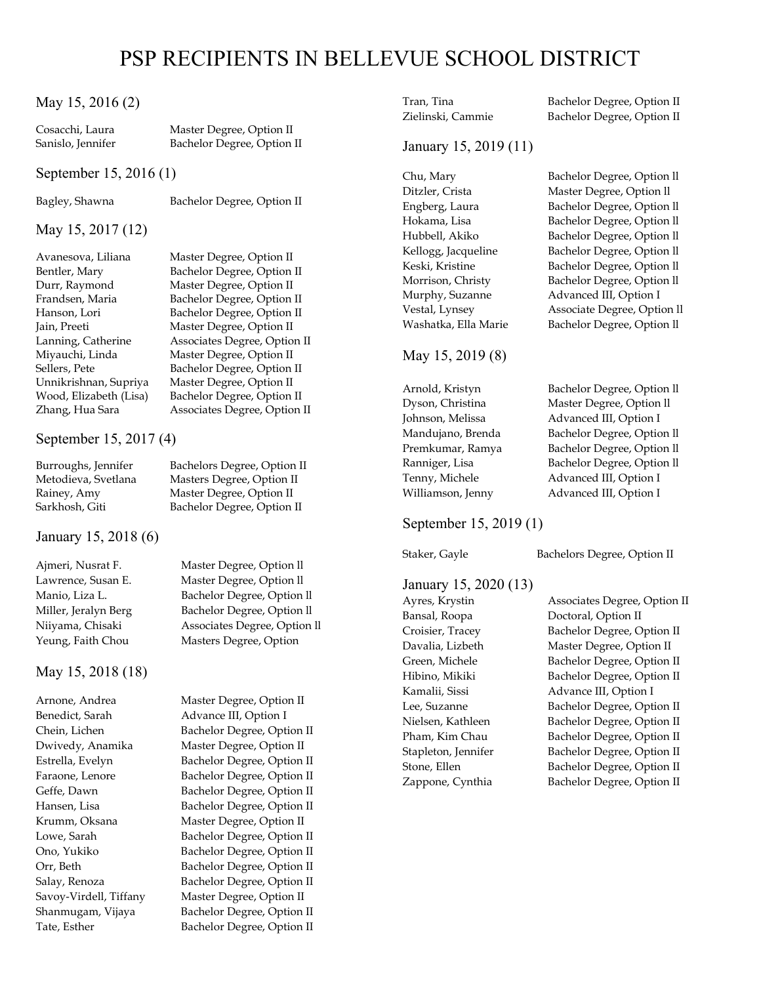#### May 15, 2016 (2)

Cosacchi, Laura Master Degree, Option II Sanislo, Jennifer Bachelor Degree, Option II

#### September 15, 2016 (1)

Bagley, Shawna Bachelor Degree, Option II

#### May 15, 2017 (12)

Miyauchi, Linda Master Degree, Option II Sellers, Pete Bachelor Degree, Option II Unnikrishnan, Supriya Master Degree, Option II Wood, Elizabeth (Lisa) Bachelor Degree, Option II Zhang, Hua Sara **Associates Degree, Option II** 

#### September 15, 2017 (4)

Sarkhosh, Giti Bachelor Degree, Option II

#### January 15, 2018 (6)

#### May 15, 2018 (18)

Benedict, Sarah Advance III, Option I

Avanesova, Liliana Master Degree, Option II Bentler, Mary Bachelor Degree, Option II Durr, Raymond Master Degree, Option II Frandsen, Maria Bachelor Degree, Option II Hanson, Lori Bachelor Degree, Option II Jain, Preeti Master Degree, Option II Lanning, Catherine Associates Degree, Option II

Burroughs, Jennifer Bachelors Degree, Option II Metodieva, Svetlana Masters Degree, Option II Rainey, Amy Master Degree, Option II

Ajmeri, Nusrat F. Master Degree, Option ll Lawrence, Susan E. Master Degree, Option ll Manio, Liza L. Bachelor Degree, Option ll Miller, Jeralyn Berg Bachelor Degree, Option ll Niiyama, Chisaki Associates Degree, Option ll Yeung, Faith Chou Masters Degree, Option

Arnone, Andrea Master Degree, Option II Chein, Lichen Bachelor Degree, Option II Dwivedy, Anamika Master Degree, Option II Estrella, Evelyn Bachelor Degree, Option II Faraone, Lenore Bachelor Degree, Option II Geffe, Dawn Bachelor Degree, Option II Hansen, Lisa Bachelor Degree, Option II Krumm, Oksana Master Degree, Option II Lowe, Sarah Bachelor Degree, Option II Ono, Yukiko Bachelor Degree, Option II Orr, Beth Bachelor Degree, Option II Salay, Renoza Bachelor Degree, Option II Savoy-Virdell, Tiffany Master Degree, Option II Shanmugam, Vijaya Bachelor Degree, Option II Tate, Esther Bachelor Degree, Option II Tran, Tina Bachelor Degree, Option II Zielinski, Cammie Bachelor Degree, Option II

#### January 15, 2019 (11)

Chu, Mary Bachelor Degree, Option ll Ditzler, Crista Master Degree, Option ll Engberg, Laura Bachelor Degree, Option ll Hokama, Lisa Bachelor Degree, Option ll Hubbell, Akiko Bachelor Degree, Option ll Kellogg, Jacqueline Bachelor Degree, Option II Keski, Kristine Bachelor Degree, Option ll Morrison, Christy Bachelor Degree, Option ll Murphy, Suzanne Advanced III, Option I Vestal, Lynsey Associate Degree, Option ll Washatka, Ella Marie Bachelor Degree, Option ll

### May 15, 2019 (8)

Arnold, Kristyn Bachelor Degree, Option ll Dyson, Christina Master Degree, Option ll Johnson, Melissa Advanced III, Option I Mandujano, Brenda Bachelor Degree, Option II Premkumar, Ramya Bachelor Degree, Option II Ranniger, Lisa Bachelor Degree, Option II Tenny, Michele Advanced III, Option I Williamson, Jenny Advanced III, Option I

#### September 15, 2019 (1)

Staker, Gayle Bachelors Degree, Option II

#### January 15, 2020 (13)

Ayres, Krystin Associates Degree, Option II Bansal, Roopa Doctoral, Option II Croisier, Tracey Bachelor Degree, Option II Davalia, Lizbeth Master Degree, Option II Green, Michele Bachelor Degree, Option II Hibino, Mikiki Bachelor Degree, Option II Kamalii, Sissi Advance III, Option I Lee, Suzanne Bachelor Degree, Option II Nielsen, Kathleen Bachelor Degree, Option II Pham, Kim Chau Bachelor Degree, Option II Stapleton, Jennifer Bachelor Degree, Option II Stone, Ellen Bachelor Degree, Option II Zappone, Cynthia Bachelor Degree, Option II